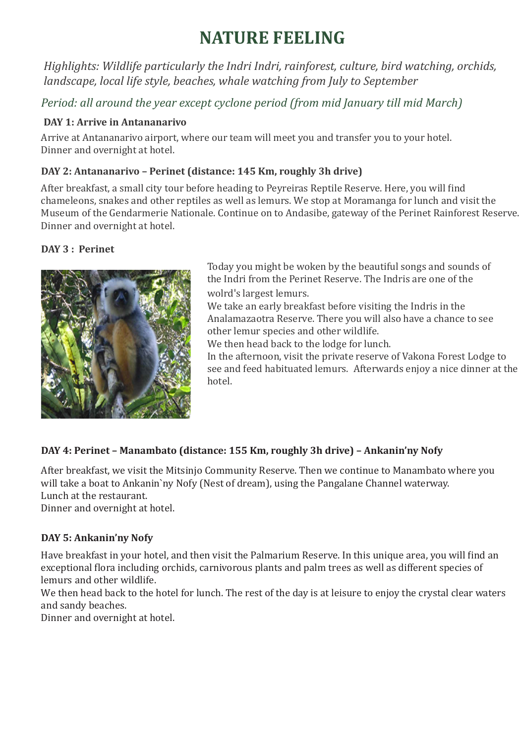# **NATURE FEELING**

*Highlights: Wildlife particularly the Indri Indri, rainforest, culture, bird watching, orchids, landscape, local life style, beaches, whale watching from July to September*

*Period: all around the year except cyclone period (from mid January till mid March)*

## **DAY 1: Arrive in Antananarivo**

Arrive at Antananarivo airport, where our team will meet you and transfer you to your hotel. Dinner and overnight at hotel.

## **DAY 2: Antananarivo – Perinet (distance: 145 Km, roughly 3h drive)**

After breakfast, a small city tour before heading to Peyreiras Reptile Reserve. Here, you will find chameleons, snakes and other reptiles as well as lemurs. We stop at Moramanga for lunch and visit the Museum of the Gendarmerie Nationale. Continue on to Andasibe, gateway of the Perinet Rainforest Reserve. Dinner and overnight at hotel.

## **DAY 3 : Perinet**



Today you might be woken by the beautiful songs and sounds of the Indri from the Perinet Reserve. The Indris are one of the wolrd's largest lemurs.

We take an early breakfast before visiting the Indris in the Analamazaotra Reserve. There you will also have a chance to see other lemur species and other wildlife.

We then head back to the lodge for lunch.

In the afternoon, visit the private reserve of Vakona Forest Lodge to see and feed habituated lemurs. Afterwards enjoy a nice dinner at the hotel.

## **DAY 4: Perinet – Manambato (distance: 155 Km, roughly 3h drive) – Ankanin'ny Nofy**

After breakfast, we visit the Mitsinjo Community Reserve. Then we continue to Manambato where you will take a boat to Ankanin`ny Nofy (Nest of dream), using the Pangalane Channel waterway. Lunch at the restaurant.

Dinner and overnight at hotel.

## **DAY 5: Ankanin'ny Nofy**

Have breakfast in your hotel, and then visit the Palmarium Reserve. In this unique area, you will find an exceptional flora including orchids, carnivorous plants and palm trees as well as different species of lemurs and other wildlife.

We then head back to the hotel for lunch. The rest of the day is at leisure to enjoy the crystal clear waters and sandy beaches.

Dinner and overnight at hotel.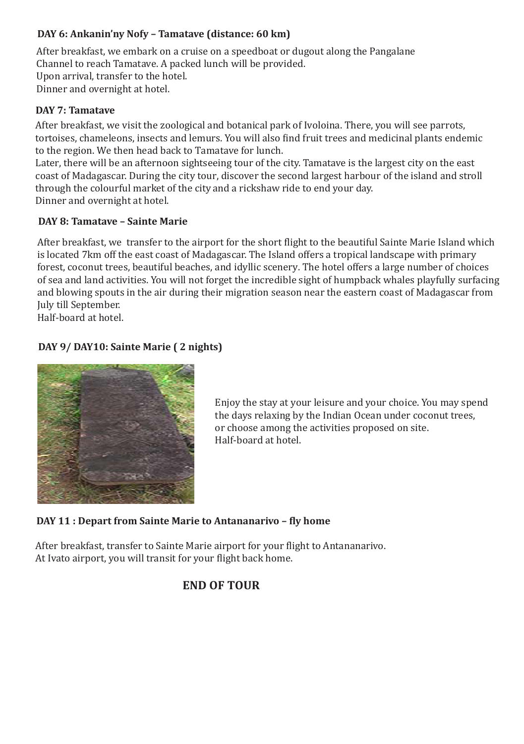## **DAY 6: Ankanin'ny Nofy – Tamatave (distance: 60 km)**

After breakfast, we embark on a cruise on a speedboat or dugout along the Pangalane Channel to reach Tamatave. A packed lunch will be provided. Upon arrival, transfer to the hotel. Dinner and overnight at hotel.

#### **DAY 7: Tamatave**

After breakfast, we visit the zoological and botanical park of Ivoloina. There, you will see parrots, tortoises, chameleons, insects and lemurs. You will also find fruit trees and medicinal plants endemic to the region. We then head back to Tamatave for lunch.

Later, there will be an afternoon sightseeing tour of the city. Tamatave is the largest city on the east coast of Madagascar. During the city tour, discover the second largest harbour of the island and stroll through the colourful market of the city and a rickshaw ride to end your day. Dinner and overnight at hotel.

#### **DAY 8: Tamatave – Sainte Marie**

After breakfast, we transfer to the airport for the short flight to the beautiful Sainte Marie Island which is located 7km off the east coast of Madagascar. The Island offers a tropical landscape with primary forest, coconut trees, beautiful beaches, and idyllic scenery. The hotel offers a large number of choices of sea and land activities. You will not forget the incredible sight of humpback whales playfully surfacing and blowing spouts in the air during their migration season near the eastern coast of Madagascar from July till September.

Half-board at hotel.

## **DAY 9/ DAY10: Sainte Marie ( 2 nights)**



Enjoy the stay at your leisure and your choice. You may spend the days relaxing by the Indian Ocean under coconut trees, or choose among the activities proposed on site. Half-board at hotel.

#### **DAY 11 : Depart from Sainte Marie to Antananarivo - fly home**

After breakfast, transfer to Sainte Marie airport for your flight to Antananarivo. At Ivato airport, you will transit for your flight back home.

## **END OF TOUR**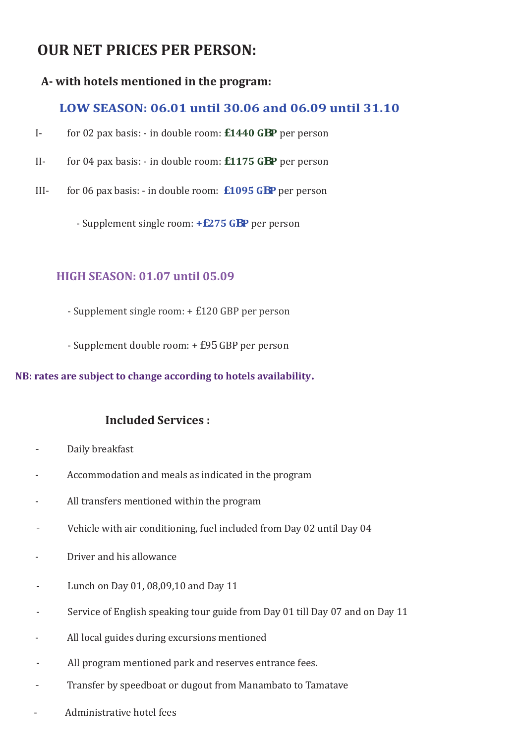## **OUR NET PRICES PER PERSON:**

## **A- with hotels mentioned in the program:**

## **LOW SEASON: 06.01 until 30.06 and 06.09 until 31.10**

- I- for 02 pax basis: in double room: **£1440 GBP** per person
- II- for 04 pax basis: in double room: **£1175 GBP** per person
- III- for 06 pax basis: in double room: **£1095 GBP** per person

- Supplement single room: **+£275 GBP** per person

## **HIGH SEASON: 01.07 until 05.09**

- Supplement single room: + £120 GBP per person
- Supplement double room: + £95 GBP per person

## **NB: rates are subject to change according to hotels availability.**

## **Included Services :**

- Daily breakfast
- Accommodation and meals as indicated in the program
- All transfers mentioned within the program
- Vehicle with air conditioning, fuel included from Day 02 until Day 04
- Driver and his allowance
- Lunch on Day 01, 08,09,10 and Day 11
- Service of English speaking tour guide from Day 01 till Day 07 and on Day 11
- All local guides during excursions mentioned
- All program mentioned park and reserves entrance fees.
- Transfer by speedboat or dugout from Manambato to Tamatave
- Administrative hotel fees